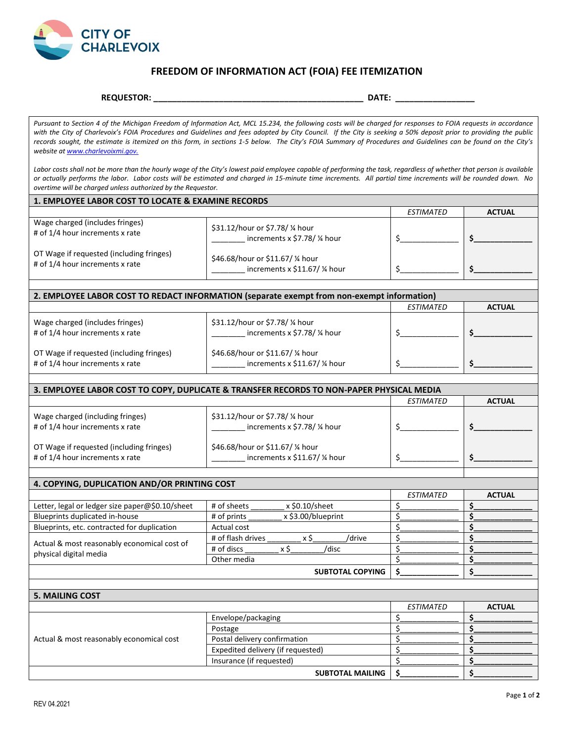

## **FREEDOM OF INFORMATION ACT (FOIA) FEE ITEMIZATION**

## **REQUESTOR: \_\_\_\_\_\_\_\_\_\_\_\_\_\_\_\_\_\_\_\_\_\_\_\_\_\_\_\_\_\_\_\_\_\_\_\_\_\_\_\_\_\_\_\_\_ DATE: \_\_\_\_\_\_\_\_\_\_\_\_\_\_\_\_\_**

*Pursuant to Section 4 of the Michigan Freedom of Information Act, MCL 15.234, the following costs will be charged for responses to FOIA requests in accordance with the City of Charlevoix's FOIA Procedures and Guidelines and fees adopted by City Council. If the City is seeking a 50% deposit prior to providing the public*  records sought, the estimate is itemized on this form, in sections 1-5 below. The City's FOIA Summary of Procedures and Guidelines can be found on the City's *website a[t www.charlevoixmi.gov.](http://www.charlevoixmi.gov./)*

Labor costs shall not be more than the hourly wage of the City's lowest paid employee capable of performing the task, regardless of whether that person is available *or actually performs the labor. Labor costs will be estimated and charged in 15-minute time increments. All partial time increments will be rounded down. No overtime will be charged unless authorized by the Requestor.* 

| <b>1. EMPLOYEE LABOR COST TO LOCATE &amp; EXAMINE RECORDS</b>               |                                                                 |           |               |
|-----------------------------------------------------------------------------|-----------------------------------------------------------------|-----------|---------------|
|                                                                             |                                                                 | ESTIMATED | <b>ACTUAL</b> |
| Wage charged (includes fringes)<br># of 1/4 hour increments x rate          | \$31.12/hour or \$7.78/ % hour<br>increments x \$7.78/ % hour   |           |               |
| OT Wage if requested (including fringes)<br># of 1/4 hour increments x rate | \$46.68/hour or \$11.67/ % hour<br>increments x \$11.67/ % hour |           |               |

| 2. EMPLOYEE LABOR COST TO REDACT INFORMATION (separate exempt from non-exempt information) |                                                                               |                  |               |
|--------------------------------------------------------------------------------------------|-------------------------------------------------------------------------------|------------------|---------------|
|                                                                                            |                                                                               | <b>ESTIMATED</b> | <b>ACTUAL</b> |
| Wage charged (includes fringes)<br># of 1/4 hour increments x rate                         | \$31.12/hour or \$7.78/ % hour<br>increments x \$7.78/ % hour                 |                  |               |
| OT Wage if requested (including fringes)<br># of 1/4 hour increments x rate                | \$46.68/hour or \$11.67/ % hour<br>increments $x$ \$11.67/ $\frac{1}{4}$ hour |                  |               |

| 3. EMPLOYEE LABOR COST TO COPY, DUPLICATE & TRANSFER RECORDS TO NON-PAPER PHYSICAL MEDIA |                                                                 |           |               |
|------------------------------------------------------------------------------------------|-----------------------------------------------------------------|-----------|---------------|
|                                                                                          |                                                                 | ESTIMATED | <b>ACTUAL</b> |
| Wage charged (including fringes)<br># of 1/4 hour increments x rate                      | \$31.12/hour or \$7.78/ % hour<br>increments x \$7.78/ % hour   |           |               |
| OT Wage if requested (including fringes)<br># of 1/4 hour increments x rate              | \$46.68/hour or \$11.67/ % hour<br>increments x \$11.67/ % hour |           |               |

| 4. COPYING, DUPLICATION AND/OR PRINTING COST                          |                                   |           |               |
|-----------------------------------------------------------------------|-----------------------------------|-----------|---------------|
|                                                                       |                                   | ESTIMATED | <b>ACTUAL</b> |
| Letter, legal or ledger size paper@\$0.10/sheet                       | x \$0.10/sheet<br># of sheets     |           |               |
| Blueprints duplicated in-house                                        | x \$3.00/blueprint<br># of prints |           |               |
| Blueprints, etc. contracted for duplication                           | Actual cost                       |           |               |
| Actual & most reasonably economical cost of<br>physical digital media | # of flash drives<br>/drive       |           |               |
|                                                                       | # of discs<br>/disc               |           |               |
|                                                                       | Other media                       |           |               |
|                                                                       | <b>SUBTOTAL COPYING</b>           |           |               |

| <b>5. MAILING COST</b>                   |                                   |                  |               |
|------------------------------------------|-----------------------------------|------------------|---------------|
|                                          |                                   | <b>ESTIMATED</b> | <b>ACTUAL</b> |
| Actual & most reasonably economical cost | Envelope/packaging                |                  |               |
|                                          | Postage                           |                  |               |
|                                          | Postal delivery confirmation      |                  |               |
|                                          | Expedited delivery (if requested) |                  |               |
|                                          | Insurance (if requested)          |                  |               |
| <b>SUBTOTAL MAILING</b>                  |                                   |                  |               |